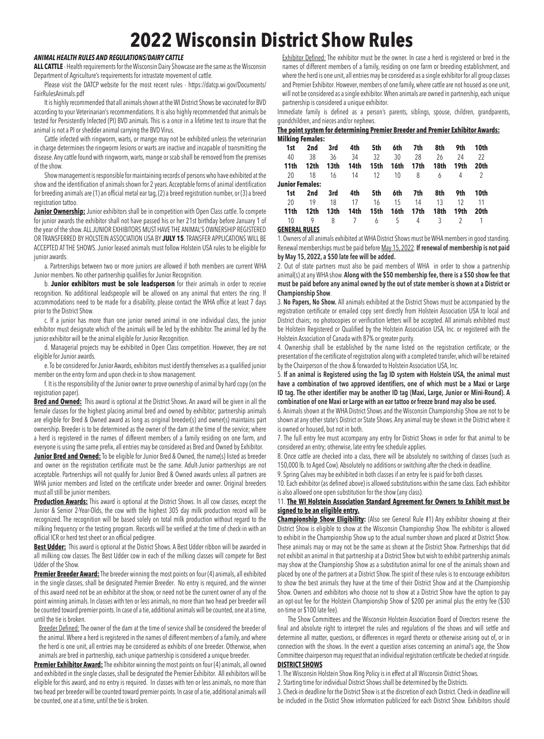# **2022 Wisconsin District Show Rules**

## *ANIMAL HEALTH RULES AND REGULATIONS/DAIRY CATTLE*

**ALL CATTLE** - Health requirements for the Wisconsin Dairy Showcase are the same as the Wisconsin Department of Agriculture's requirements for intrastate movement of cattle.

Please visit the DATCP website for the most recent rules - https://datcp.wi.gov/Documents/ FairRulesAnimals.pdf

It is highly recommended that all animals shown at the WI District Shows be vaccinated for BVD according to your Veterinarian's recommendations. It is also highly recommended that animals be tested for Persistently Infected (PI) BVD animals. This is a once in a lifetime test to insure that the animal is not a PI or shedder animal carrying the BVD Virus.

Cattle infected with ringworm, warts, or mange may not be exhibited unless the veterinarian in charge determines the ringworm lesions or warts are inactive and incapable of transmitting the disease. Any cattle found with ringworm, warts, mange or scab shall be removed from the premises of the show.

Show management is responsible for maintaining records of persons who have exhibited at the show and the identification of animals shown for 2 years. Acceptable forms of animal identification for breeding animals are (1) an official metal ear tag, (2) a breed registration number, or (3) a breed registration tattoo.

**Junior Ownership:** Junior exhibitors shall be in competition with Open Class cattle. To compete for junior awards the exhibitor shall not have passed his or her 21st birthday before January 1 of the year of the show. ALL JUNIOR EXHIBITORS MUST HAVE THE ANIMAL'S OWNERSHIP REGISTERED OR TRANSFERRED BY HOLSTEIN ASSOCIATION USA BY **JULY 15**. TRANSFER APPLICATIONS WILL BE ACCEPTED AT THE SHOWS. Junior leased animals must follow Holstein USA rules to be eligible for junior awards.

a. Partnerships between two or more juniors are allowed if both members are current WHA Junior members. No other partnership qualifies for Junior Recognition.

b. **Junior exhibitors must be sole leadsperson** for their animals in order to receive recognition. No additional leadspeople will be allowed on any animal that enters the ring. If accommodations need to be made for a disability, please contact the WHA office at least 7 days prior to the District Show.

c. If a junior has more than one junior owned animal in one individual class, the junior exhibitor must designate which of the animals will be led by the exhibitor. The animal led by the junior exhibitor will be the animal eligible for Junior Recognition.

d. Managerial projects may be exhibited in Open Class competition. However, they are not eligible for Junior awards.

e. To be considered for Junior Awards, exhibitors must identify themselves as a qualified junior member on the entry form and upon check-in to show management.

f. It is the responsibility of the Junior owner to prove ownership of animal by hard copy (on the registration paper).

**Bred and Owned:** This award is optional at the District Shows. An award will be given in all the female classes for the highest placing animal bred and owned by exhibitor; partnership animals are eligible for Bred & Owned award as long as original breeder(s) and owner(s) maintains part ownership. Breeder is to be determined as the owner of the dam at the time of the service; where a herd is registered in the names of different members of a family residing on one farm, and everyone is using the same prefix, all entries may be considered as Bred and Owned by Exhibitor.

**Junior Bred and Owned:** To be eligible for Junior Bred & Owned, the name(s) listed as breeder and owner on the registration certificate must be the same. Adult-Junior partnerships are not acceptable. Partnerships will not qualify for Junior Bred & Owned awards unless all partners are WHA junior members and listed on the certificate under breeder and owner. Original breeders must all still be junior members.

**Production Awards:** This award is optional at the District Shows. In all cow classes, except the Junior & Senior 2-Year-Olds, the cow with the highest 305 day milk production record will be recognized. The recognition will be based solely on total milk production without regard to the milking frequency or the testing program. Records will be verified at the time of check-in with an official ICR or herd test sheet or an official pedigree.

**Best Udder:** This award is optional at the District Shows. A Best Udder ribbon will be awarded in all milking cow classes. The Best Udder cow in each of the milking classes will compete for Best Udder of the Show.

**Premier Breeder Award:** The breeder winning the most points on four (4) animals, all exhibited in the single classes, shall be designated Premier Breeder. No entry is required, and the winner of this award need not be an exhibitor at the show, or need not be the current owner of any of the point winning animals. In classes with ten or less animals, no more than two head per breeder will be counted toward premier points. In case of a tie, additional animals will be counted, one at a time, until the tie is broken.

 Breeder Defined: The owner of the dam at the time of service shall be considered the breeder of the animal. Where a herd is registered in the names of different members of a family, and where the herd is one unit, all entries may be considered as exhibits of one breeder. Otherwise, when animals are bred in partnership, each unique partnership is considered a unique breeder.

**Premier Exhibitor Award:** The exhibitor winning the most points on four (4) animals, all owned and exhibited in the single classes, shall be designated the Premier Exhibitor. All exhibitors will be eligible for this award, and no entry is required. In classes with ten or less animals, no more than two head per breeder will be counted toward premier points. In case of a tie, additional animals will be counted, one at a time, until the tie is broken.

Exhibitor Defined: The exhibitor must be the owner. In case a herd is registered or bred in the names of different members of a family, residing on one farm or breeding establishment, and where the herd is one unit, all entries may be considered as a single exhibitor for all group classes and Premier Exhibitor. However, members of one family, where cattle are not housed as one unit, will not be considered as a single exhibitor. When animals are owned in partnership, each unique partnership is considered a unique exhibitor.

Immediate family is defined as a person's parents, siblings, spouse, children, grandparents, grandchildren, and nieces and/or nephews.

#### **The point system for determining Premier Breeder and Premier Exhibitor Awards: Milking Females:**

| 1st              | 2nd              | 3rd              | 4th             | 5th   | 6th  | 7th  | 8th            | 9th  | 10th           |
|------------------|------------------|------------------|-----------------|-------|------|------|----------------|------|----------------|
| 40               | 38               | 36               | 34              | 32    | 30   | 28   | 26             | 24   | 22             |
| 11 <sub>th</sub> | 12th             | 13 <sub>th</sub> | 14th            | 15th  | 16th | 17th | 18th           | 19th | 20th           |
| 20               | 18               | 16               |                 | 14 12 | 10   | 8    | 6              | 4    | 2              |
| Junior Females:  |                  |                  |                 |       |      |      |                |      |                |
| 1st              | 2nd              | 3rd              | 4th             | 5th   | 6th  | 7th  | 8th            | 9th  | 10th           |
| 20               | 19               | 18               | 17              | 16    | 15   | 14   | 13             | 12   | - 11           |
| 11 <sub>th</sub> | 12 <sub>th</sub> | 13 <sub>th</sub> | 14th            | 15th  | 16th | 17th | 18th           | 19th | 20th           |
| 10 <sup>1</sup>  |                  | 8                | $7\overline{ }$ | 6     | 5    | 4    | 3 <sup>3</sup> |      | $\overline{1}$ |
|                  |                  |                  |                 |       |      |      |                |      |                |

**GENERAL RULES**

1. Owners of all animals exhibited at WHA District Shows must be WHA members in good standing. Renewal memberships must be paid before May 15, 2022. **If renewal of membership is not paid by May 15, 2022, a \$50 late fee will be added.**

2. Out of state partners must also be paid members of WHA in order to show a partnership animal(s) at any WHA show. **Along with the \$50 membership fee, there is a \$50 show fee that must be paid before any animal owned by the out of state member is shown at a District or Championship Show**.

3. **No Papers, No Show.** All animals exhibited at the District Shows must be accompanied by the registration certificate or emailed copy sent directly from Holstein Association USA to local and District chairs; no photocopies or verification letters will be accepted. All animals exhibited must be Holstein Registered or Qualified by the Holstein Association USA, Inc. or registered with the Holstein Association of Canada with 87% or greater purity.

4. Ownership shall be established by the name listed on the registration certificate; or the presentation of the certificate of registration along with a completed transfer, which will be retained by the Chairperson of the show & forwarded to Holstein Association USA, Inc.

5. **If an animal is Registered using the Tag ID system with Holstein USA, the animal must have a combination of two approved identifiers, one of which must be a Maxi or Large ID tag. The other identifier may be another ID tag (Maxi, Large, Junior or Mini-Round). A combination of one Maxi or Large with an ear tattoo or freeze brand may also be used.**

6. Animals shown at the WHA District Shows and the Wisconsin Championship Show are not to be shown at any other state's District or State Shows. Any animal may be shown in the District where it is owned or housed, but not in both.

7. The full entry fee must accompany any entry for District Shows in order for that animal to be considered an entry; otherwise, late entry fee schedule applies.

8. Once cattle are checked into a class, there will be absolutely no switching of classes (such as 150,000 lb. to Aged Cow). Absolutely no additions or switching after the check-in deadline.

9. Spring Calves may be exhibited in both classes if an entry fee is paid for both classes. 10. Each exhibitor (as defined above) is allowed substitutions within the same class. Each exhibitor

#### is also allowed one open substitution for the show (any class). 11. **The WI Holstein Association Standard Agreement for Owners to Exhibit must be signed to be an eligible entry.**

**Championship Show Eligibility:** (Also see General Rule #1) Any exhibitor showing at their District Show is eligible to show at the Wisconsin Championship Show. The exhibitor is allowed to exhibit in the Championship Show up to the actual number shown and placed at District Show. These animals may or may not be the same as shown at the District Show. Partnerships that did not exhibit an animal in that partnership at a District Show but wish to exhibit partnership animals may show at the Championship Show as a substitution animal for one of the animals shown and placed by one of the partners at a District Show. The spirit of these rules is to encourage exhibitors to show the best animals they have at the time of their District Show and at the Championship Show. Owners and exhibitors who choose not to show at a District Show have the option to pay an opt-out fee for the Holstein Championship Show of \$200 per animal plus the entry fee (\$30 on-time or \$100 late fee).

The Show Committees and the Wisconsin Holstein Association Board of Directors reserve the final and absolute right to interpret the rules and regulations of the shows and will settle and determine all matter, questions, or differences in regard thereto or otherwise arising out of, or in connection with the shows. In the event a question arises concerning an animal's age, the Show Committee chairperson may request that an individual registration certificate be checked at ringside. **DISTRICT SHOWS**

1. The Wisconsin Holstein Show Ring Policy is in effect at all Wisconsin District Shows.

2. Starting time for individual District Shows shall be determined by the Districts.

3. Check-in deadline for the District Show is at the discretion of each District. Check-in deadline will be included in the Distict Show information publicized for each District Show. Exhibitors should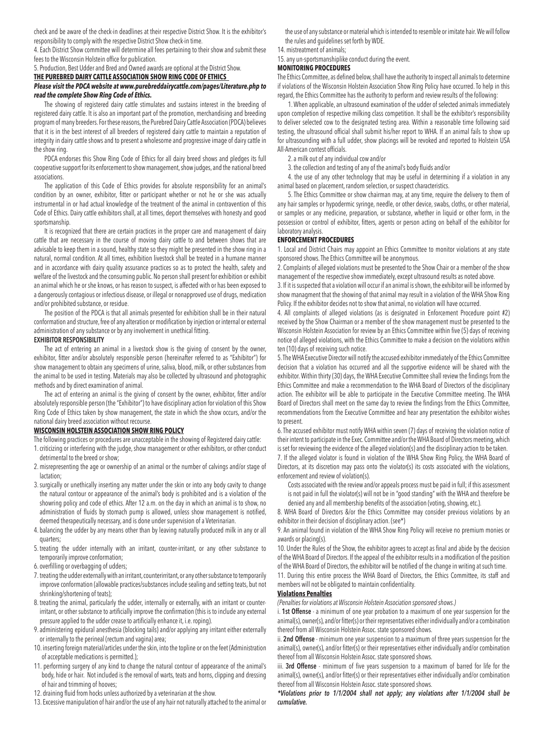check and be aware of the check-in deadlines at their respective District Show. It is the exhibitor's responsibility to comply with the respective District Show check-in time.

4. Each District Show committee will determine all fees pertaining to their show and submit these fees to the Wisconsin Holstein office for publication.

5. Production, Best Udder and Bred and Owned awards are optional at the District Show.

**THE PUREBRED DAIRY CATTLE ASSOCIATION SHOW RING CODE OF ETHICS** 

### *Please visit the PDCA website at www.purebreddairycattle.com/pages/Literature.php to read the complete Show Ring Code of Ethics.*

The showing of registered dairy cattle stimulates and sustains interest in the breeding of registered dairy cattle. It is also an important part of the promotion, merchandising and breeding program of many breeders. For these reasons, the Purebred Dairy Cattle Association (PDCA) believes that it is in the best interest of all breeders of registered dairy cattle to maintain a reputation of integrity in dairy cattle shows and to present a wholesome and progressive image of dairy cattle in the show ring.

PDCA endorses this Show Ring Code of Ethics for all dairy breed shows and pledges its full cooperative support for its enforcement to show management, show judges, and the national breed associations.

The application of this Code of Ethics provides for absolute responsibility for an animal's condition by an owner, exhibitor, fitter or participant whether or not he or she was actually instrumental in or had actual knowledge of the treatment of the animal in contravention of this Code of Ethics. Dairy cattle exhibitors shall, at all times, deport themselves with honesty and good sportsmanship.

It is recognized that there are certain practices in the proper care and management of dairy cattle that are necessary in the course of moving dairy cattle to and between shows that are advisable to keep them in a sound, healthy state so they might be presented in the show ring in a natural, normal condition. At all times, exhibition livestock shall be treated in a humane manner and in accordance with dairy quality assurance practices so as to protect the health, safety and welfare of the livestock and the consuming public. No person shall present for exhibition or exhibit an animal which he or she knows, or has reason to suspect, is affected with or has been exposed to a dangerously contagious or infectious disease, or illegal or nonapproved use of drugs, medication and/or prohibited substance, or residue.

The position of the PDCA is that all animals presented for exhibition shall be in their natural conformation and structure, free of any alteration or modification by injection or internal or external administration of any substance or by any involvement in unethical fitting.

#### **EXHIBITOR RESPONSIBILITY**

The act of entering an animal in a livestock show is the giving of consent by the owner, exhibitor, fitter and/or absolutely responsible person (hereinafter referred to as "Exhibitor") for show management to obtain any specimens of urine, saliva, blood, milk, or other substances from the animal to be used in testing. Materials may also be collected by ultrasound and photographic methods and by direct examination of animal.

The act of entering an animal is the giving of consent by the owner, exhibitor, fitter and/or absolutely responsible person (the "Exhibitor") to have disciplinary action for violation of this Show Ring Code of Ethics taken by show management, the state in which the show occurs, and/or the national dairy breed association without recourse.

#### **WISCONSIN HOLSTEIN ASSOCIATION SHOW RING POLICY**

The following practices or procedures are unacceptable in the showing of Registered dairy cattle:

1. criticizing or interfering with the judge, show management or other exhibitors, or other conduct detrimental to the breed or show;

- 2. misrepresenting the age or ownership of an animal or the number of calvings and/or stage of lactation;
- 3. surgically or unethically inserting any matter under the skin or into any body cavity to change the natural contour or appearance of the animal's body is prohibited and is a violation of the showring policy and code of ethics. After 12 a.m. on the day in which an animal is to show, no administration of fluids by stomach pump is allowed, unless show management is notified, deemed therapeutically necessary, and is done under supervision of a Veterinarian.
- 4. balancing the udder by any means other than by leaving naturally produced milk in any or all quarters;
- 5. treating the udder internally with an irritant, counter-irritant, or any other substance to temporarily improve conformation;
- 6. overfilling or overbagging of udders;
- 7. treating the udder externally with an irritant, counterirritant, or any other substance to temporarily improve conformation (allowable practices/substances include sealing and setting teats, but not shrinking/shortening of teats);
- 8. treating the animal, particularly the udder, internally or externally, with an irritant or counterirritant, or other substance to artificially improve the confirmation (this is to include any external pressure applied to the udder crease to artificially enhance it, i.e. roping).
- 9. administering epidural anesthesia (blocking tails) and/or applying any irritant either externally or internally to the perineal (rectum and vagina) area;
- 10. inserting foreign material/articles under the skin, into the topline or on the feet (Administration of acceptable medications is permitted.);
- 11. performing surgery of any kind to change the natural contour of appearance of the animal's body, hide or hair. Not included is the removal of warts, teats and horns, clipping and dressing of hair and trimming of hooves;
- 12. draining fluid from hocks unless authorized by a veterinarian at the show.
- 13. Excessive manipulation of hair and/or the use of any hair not naturally attached to the animal or

the use of any substance or material which is intended to resemble or imitate hair. We will follow the rules and guidelines set forth by WDE.

14. mistreatment of animals;

15. any un-sportsmanshiplike conduct during the event.

## **MONITORING PROCEDURES**

The Ethics Committee, as defined below, shall have the authority to inspect all animals to determine if violations of the Wisconsin Holstein Association Show Ring Policy have occurred. To help in this regard, the Ethics Committee has the authority to perform and review results of the following:

1. When applicable, an ultrasound examination of the udder of selected animals immediately upon completion of respective milking class competition. It shall be the exhibitor's responsibility to deliver selected cow to the designated testing area. Within a reasonable time following said testing, the ultrasound official shall submit his/her report to WHA. If an animal fails to show up for ultrasounding with a full udder, show placings will be revoked and reported to Holstein USA All-American contest officials.

2. a milk out of any individual cow and/or

3. the collection and testing of any of the animal's body fluids and/or

4. the use of any other technology that may be useful in determining if a violation in any animal based on placement, random selection, or suspect characteristics.

5. The Ethics Committee or show chairman may, at any time, require the delivery to them of any hair samples or hypodermic syringe, needle, or other device, swabs, cloths, or other material, or samples or any medicine, preparation, or substance, whether in liquid or other form, in the possession or control of exhibitor, fitters, agents or person acting on behalf of the exhibitor for laboratory analysis.

#### **ENFORCEMENT PROCEDURES**

1. Local and District Chairs may appoint an Ethics Committee to monitor violations at any state sponsored shows. The Ethics Committee will be anonymous.

2. Complaints of alleged violations must be presented to the Show Chair or a member of the show management of the respective show immediately, except ultrasound results as noted above.

3. If it is suspected that a violation will occur if an animal is shown, the exhibitor will be informed by show managment that the showing of that animal may result in a violation of the WHA Show Ring Policy. If the exhibitor decides not to show that animal, no violation will have occurred.

4. All complaints of alleged violations (as is designated in Enforcement Procedure point #2) received by the Show Chairman or a member of the show management must be presented to the Wisconsin Holstein Association for review by an Ethics Committee within five (5) days of receiving notice of alleged violations, with the Ethics Committee to make a decision on the violations within ten (10) days of receiving such notice.

5. The WHA Executive Director will notify the accused exhibitor immediately of the Ethics Committee decision that a violation has occurred and all the supportive evidence will be shared with the exhibitor. Within thirty (30) days, the WHA Executive Committee shall review the findings from the Ethics Committee and make a recommendation to the WHA Board of Directors of the disciplinary action. The exhibitor will be able to participate in the Executive Committee meeting. The WHA Board of Directors shall meet on the same day to review the findings from the Ethics Committee, recommendations from the Executive Committee and hear any presentation the exhibitor wishes to present.

6. The accused exhibitor must notify WHA within seven (7) days of receiving the violation notice of their intent to participate in the Exec. Committee and/or the WHA Board of Directors meeting, which is set for reviewing the evidence of the alleged violation(s) and the disciplinary action to be taken. 7. If the alleged violator is found in violation of the WHA Show Ring Policy, the WHA Board of Directors, at its discretion may pass onto the violator(s) its costs associated with the violations, enforcement and review of violation(s).

 Costs associated with the review and/or appeals process must be paid in full; if this assessment is not paid in full the violator(s) will not be in "good standing" with the WHA and therefore be denied any and all membership benefits of the association (voting, showing, etc.).

8. WHA Board of Directors &/or the Ethics Committee may consider previous violations by an exhibitor in their decision of disciplinary action. (see\*)

9. An animal found in violation of the WHA Show Ring Policy will receive no premium monies or awards or placing(s).

10. Under the Rules of the Show, the exhibitor agrees to accept as final and abide by the decision of the WHA Board of Directors. If the appeal of the exhibitor results in a modification of the position of the WHA Board of Directors, the exhibitor will be notified of the change in writing at such time.

11. During this entire process the WHA Board of Directors, the Ethics Committee, its staff and members will not be obligated to maintain confidentiality.

## **Violations Penalties**

*(Penalties for violations at Wisconsin Holstein Association sponsored shows.)*

i. **1st Offense** - a minimum of one year probation to a maximum of one year suspension for the animal(s), owner(s), and/or fitter(s) or their representatives either individually and/or a combination thereof from all Wisconsin Holstein Assoc. state sponsored shows.

ii. **2nd Offense** - minimum one year suspension to a maximum of three years suspension for the animal(s), owner(s), and/or fitter(s) or their representatives either individually and/or combination thereof from all Wisconsin Holstein Assoc. state sponsored shows.

iii. **3rd Offense** - minimum of five years suspension to a maximum of barred for life for the animal(s), owner(s), and/or fitter(s) or their representatives either individually and/or combination thereof from all Wisconsin Holstein Assoc. state sponsored shows.

*\*Violations prior to 1/1/2004 shall not apply; any violations after 1/1/2004 shall be cumulative.*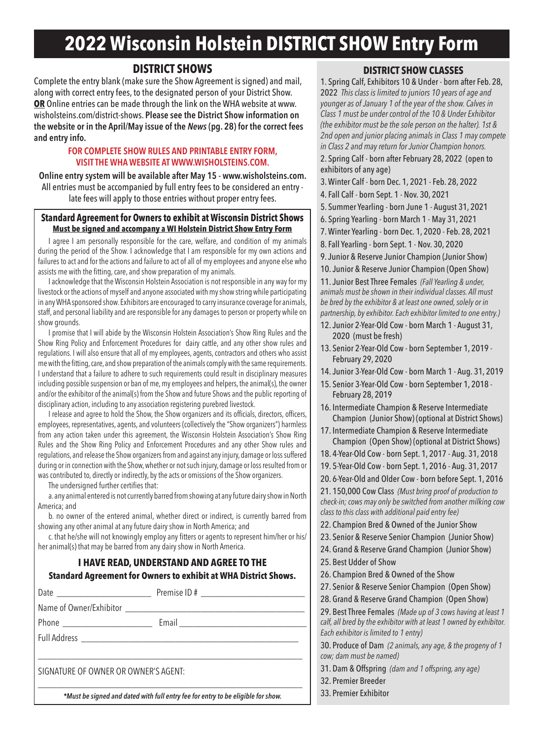# **2022 Wisconsin Holstein DISTRICT SHOW Entry Form**

# **DISTRICT SHOWS**

Complete the entry blank (make sure the Show Agreement is signed) and mail, along with correct entry fees, to the designated person of your District Show. **OR** Online entries can be made through the link on the WHA website at www. wisholsteins.com/district-shows. **Please see the District Show information on the website or in the April/May issue of the** *News* **(pg. 28) for the correct fees and entry info.**

# **FOR COMPLETE SHOW RULES AND PRINTABLE ENTRY FORM, VISIT THE WHA WEBSITE AT WWW.WISHOLSTEINS.COM.**

**Online entry system will be available after May 15 - www.wisholsteins.com.** All entries must be accompanied by full entry fees to be considered an entry late fees will apply to those entries without proper entry fees.

## **Standard Agreement for Owners to exhibit at Wisconsin District Shows Must be signed and accompany a WI Holstein District Show Entry Form**

I agree I am personally responsible for the care, welfare, and condition of my animals during the period of the Show. I acknowledge that I am responsible for my own actions and failures to act and for the actions and failure to act of all of my employees and anyone else who assists me with the fitting, care, and show preparation of my animals.

I acknowledge that the Wisconsin Holstein Association is not responsible in any way for my livestock or the actions of myself and anyone associated with my show string while participating in any WHA sponsored show. Exhibitors are encouraged to carry insurance coverage for animals, staff, and personal liability and are responsible for any damages to person or property while on show grounds.

I promise that I will abide by the Wisconsin Holstein Association's Show Ring Rules and the Show Ring Policy and Enforcement Procedures for dairy cattle, and any other show rules and regulations. I will also ensure that all of my employees, agents, contractors and others who assist me with the fitting, care, and show preparation of the animals comply with the same requirements. I understand that a failure to adhere to such requirements could result in disciplinary measures including possible suspension or ban of me, my employees and helpers, the animal(s), the owner and/or the exhibitor of the animal(s) from the Show and future Shows and the public reporting of disciplinary action, including to any association registering purebred livestock.

I release and agree to hold the Show, the Show organizers and its officials, directors, officers, employees, representatives, agents, and volunteers (collectively the "Show organizers") harmless from any action taken under this agreement, the Wisconsin Holstein Association's Show Ring Rules and the Show Ring Policy and Enforcement Procedures and any other Show rules and regulations, and release the Show organizers from and against any injury, damage or loss suffered during or in connection with the Show, whether or not such injury, damage or loss resulted from or was contributed to, directly or indirectly, by the acts or omissions of the Show organizers.

The undersigned further certifies that:

a. any animal entered is not currently barred from showing at any future dairy show in North America; and

b. no owner of the entered animal, whether direct or indirect, is currently barred from showing any other animal at any future dairy show in North America; and

c. that he/she will not knowingly employ any fitters or agents to represent him/her or his/ her animal(s) that may be barred from any dairy show in North America.

# **I HAVE READ, UNDERSTAND AND AGREE TO THE Standard Agreement for Owners to exhibit at WHA District Shows.**

| Date ___________________________     |  |
|--------------------------------------|--|
|                                      |  |
|                                      |  |
|                                      |  |
| SIGNATURE OF OWNER OR OWNER'S AGENT: |  |

## *\*Must be signed and dated with full entry fee for entry to be eligible for show.*

# **DISTRICT SHOW CLASSES**

1. Spring Calf, Exhibitors 10 & Under - born after Feb. 28, 2022 *This class is limited to juniors 10 years of age and younger as of January 1 of the year of the show. Calves in Class 1 must be under control of the 10 & Under Exhibitor (the exhibitor must be the sole person on the halter). 1st & 2nd open and junior placing animals in Class 1 may compete in Class 2 and may return for Junior Champion honors.*

2. Spring Calf - born after February 28, 2022 (open to exhibitors of any age)

3. Winter Calf - born Dec. 1, 2021 - Feb. 28, 2022

4. Fall Calf - born Sept. 1 - Nov. 30, 2021

5. Summer Yearling - born June 1 - August 31, 2021

6. Spring Yearling - born March 1 - May 31, 2021

7. Winter Yearling - born Dec. 1, 2020 - Feb. 28, 2021

- 8. Fall Yearling born Sept. 1 Nov. 30, 2020
- 9. Junior & Reserve Junior Champion (Junior Show)

10. Junior & Reserve Junior Champion (Open Show)

11. Junior Best Three Females *(Fall Yearling & under, animals must be shown in their individual classes. All must be bred by the exhibitor & at least one owned, solely or in partnership, by exhibitor. Each exhibitor limited to one entry.)*

- 12. Junior 2-Year-Old Cow born March 1 August 31, 2020 (must be fresh)
- 13. Senior 2-Year-Old Cow born September 1, 2019 February 29, 2020
- 14. Junior 3-Year-Old Cow born March 1 Aug. 31, 2019
- 15. Senior 3-Year-Old Cow born September 1, 2018 February 28, 2019
- 16. Intermediate Champion & Reserve Intermediate Champion (Junior Show) (optional at District Shows)
- 17. Intermediate Champion & Reserve Intermediate Champion (Open Show) (optional at District Shows)
- 18. 4-Year-Old Cow born Sept. 1, 2017 Aug. 31, 2018
- 19. 5-Year-Old Cow born Sept. 1, 2016 Aug. 31, 2017

20. 6-Year-Old and Older Cow - born before Sept. 1, 2016 21. 150,000 Cow Class *(Must bring proof of production to* 

*check-in; cows may only be switched from another milking cow class to this class with additional paid entry fee)*

- 22. Champion Bred & Owned of the Junior Show
- 23. Senior & Reserve Senior Champion (Junior Show)
- 24. Grand & Reserve Grand Champion (Junior Show)
- 25. Best Udder of Show
- 26. Champion Bred & Owned of the Show
- 27. Senior & Reserve Senior Champion (Open Show)
- 28. Grand & Reserve Grand Champion (Open Show)

29. Best Three Females *(Made up of 3 cows having at least 1 calf, all bred by the exhibitor with at least 1 owned by exhibitor. Each exhibitor is limited to 1 entry)*

30. Produce of Dam *(2 animals, any age, & the progeny of 1 cow; dam must be named)*

- 31. Dam & Offspring *(dam and 1 offspring, any age)*
- 32. Premier Breeder
- 33. Premier Exhibitor